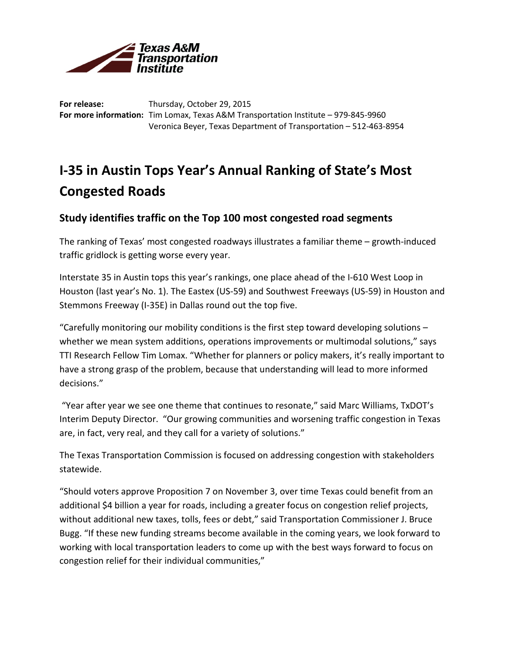

**For release:** Thursday, October 29, 2015 **For more information:** Tim Lomax, Texas A&M Transportation Institute – 979-845-9960 Veronica Beyer, Texas Department of Transportation – 512-463-8954

## **I-35 in Austin Tops Year's Annual Ranking of State's Most Congested Roads**

## **Study identifies traffic on the Top 100 most congested road segments**

The ranking of Texas' most congested roadways illustrates a familiar theme – growth-induced traffic gridlock is getting worse every year.

Interstate 35 in Austin tops this year's rankings, one place ahead of the I-610 West Loop in Houston (last year's No. 1). The Eastex (US-59) and Southwest Freeways (US-59) in Houston and Stemmons Freeway (I-35E) in Dallas round out the top five.

"Carefully monitoring our mobility conditions is the first step toward developing solutions  $$ whether we mean system additions, operations improvements or multimodal solutions," says TTI Research Fellow Tim Lomax. "Whether for planners or policy makers, it's really important to have a strong grasp of the problem, because that understanding will lead to more informed decisions."

"Year after year we see one theme that continues to resonate," said Marc Williams, TxDOT's Interim Deputy Director. "Our growing communities and worsening traffic congestion in Texas are, in fact, very real, and they call for a variety of solutions."

The Texas Transportation Commission is focused on addressing congestion with stakeholders statewide.

"Should voters approve Proposition 7 on November 3, over time Texas could benefit from an additional \$4 billion a year for roads, including a greater focus on congestion relief projects, without additional new taxes, tolls, fees or debt," said Transportation Commissioner J. Bruce Bugg. "If these new funding streams become available in the coming years, we look forward to working with local transportation leaders to come up with the best ways forward to focus on congestion relief for their individual communities,"